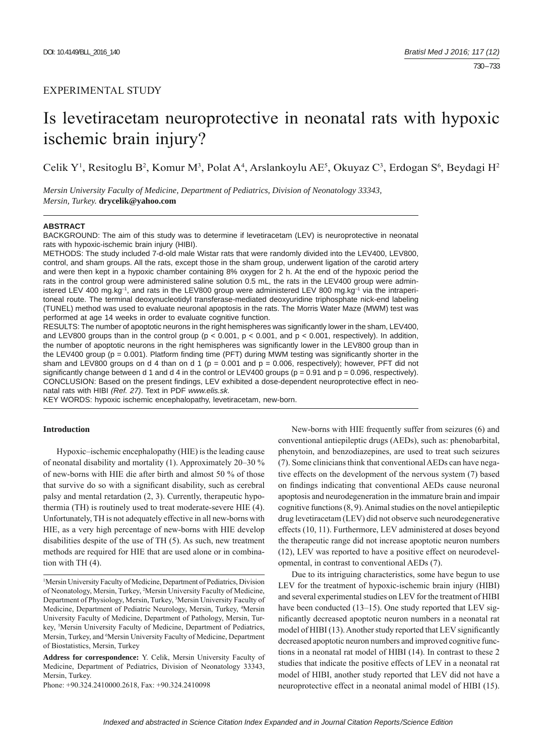## EXPERIMENTAL STUDY

# Is levetiracetam neuroprotective in neonatal rats with hypoxic ischemic brain injury?

Celik Y<sup>1</sup>, Resitoglu B<sup>2</sup>, Komur M<sup>3</sup>, Polat A<sup>4</sup>, Arslankoylu AE<sup>5</sup>, Okuyaz C<sup>3</sup>, Erdogan S<sup>6</sup>, Beydagi H<sup>2</sup>

*Mersin University Faculty of Medicine, Department of Pediatrics, Division of Neonatology 33343, Mersin, Turkey.* **drycelik@yahoo.com**

## **ABSTRACT**

BACKGROUND: The aim of this study was to determine if levetiracetam (LEV) is neuroprotective in neonatal rats with hypoxic-ischemic brain injury (HIBI).

METHODS: The study included 7-d-old male Wistar rats that were randomly divided into the LEV400, LEV800, control, and sham groups. All the rats, except those in the sham group, underwent ligation of the carotid artery and were then kept in a hypoxic chamber containing 8% oxygen for 2 h. At the end of the hypoxic period the rats in the control group were administered saline solution 0.5 mL, the rats in the LEV400 group were administered LEV 400 mg.kg-1, and rats in the LEV800 group were administered LEV 800 mg.kg-1 via the intraperitoneal route. The terminal deoxynucleotidyl transferase-mediated deoxyuridine triphosphate nick-end labeling (TUNEL) method was used to evaluate neuronal apoptosis in the rats. The Morris Water Maze (MWM) test was performed at age 14 weeks in order to evaluate cognitive function.

RESULTS: The number of apoptotic neurons in the right hemispheres was significantly lower in the sham, LEV400, and LEV800 groups than in the control group ( $p < 0.001$ ,  $p < 0.001$ , and  $p < 0.001$ , respectively). In addition, the number of apoptotic neurons in the right hemispheres was significantly lower in the LEV800 group than in the LEV400 group ( $p = 0.001$ ). Platform finding time (PFT) during MWM testing was significantly shorter in the sham and LEV800 groups on d 4 than on d 1 ( $p = 0.001$  and  $p = 0.006$ , respectively); however, PFT did not significantly change between d 1 and d 4 in the control or LEV400 groups ( $p = 0.91$  and  $p = 0.096$ , respectively). CONCLUSION: Based on the present findings, LEV exhibited a dose-dependent neuroprotective effect in neonatal rats with HIBI *(Ref. 27)*. Text in PDF *www.elis.sk.*

KEY WORDS: hypoxic ischemic encephalopathy, levetiracetam, new-born.

## **Introduction**

Hypoxic–ischemic encephalopathy (HIE) is the leading cause of neonatal disability and mortality (1). Approximately 20–30 % of new-borns with HIE die after birth and almost 50 % of those that survive do so with a significant disability, such as cerebral palsy and mental retardation (2, 3). Currently, therapeutic hypothermia (TH) is routinely used to treat moderate-severe HIE (4). Unfortunately, TH is not adequately effective in all new-borns with HIE, as a very high percentage of new-borns with HIE develop disabilities despite of the use of TH (5). As such, new treatment methods are required for HIE that are used alone or in combination with TH (4).

Phone: +90.324.2410000.2618, Fax: +90.324.2410098

New-borns with HIE frequently suffer from seizures (6) and conventional antiepileptic drugs (AEDs), such as: phenobarbital, phenytoin, and benzodiazepines, are used to treat such seizures (7). Some clinicians think that conventional AEDs can have negative effects on the development of the nervous system (7) based on findings indicating that conventional AEDs cause neuronal apoptosis and neurodegeneration in the immature brain and impair cognitive functions (8, 9). Animal studies on the novel antiepileptic drug levetiracetam (LEV) did not observe such neurodegenerative effects (10, 11). Furthermore, LEV administered at doses beyond the therapeutic range did not increase apoptotic neuron numbers (12), LEV was reported to have a positive effect on neurodevelopmental, in contrast to conventional AEDs (7).

Due to its intriguing characteristics, some have begun to use LEV for the treatment of hypoxic-ischemic brain injury (HIBI) and several experimental studies on LEV for the treatment of HIBI have been conducted (13–15). One study reported that LEV significantly decreased apoptotic neuron numbers in a neonatal rat model of HIBI (13). Another study reported that LEV significantly decreased apoptotic neuron numbers and improved cognitive functions in a neonatal rat model of HIBI (14). In contrast to these 2 studies that indicate the positive effects of LEV in a neonatal rat model of HIBI, another study reported that LEV did not have a neuroprotective effect in a neonatal animal model of HIBI (15).

<sup>&</sup>lt;sup>1</sup>Mersin University Faculty of Medicine, Department of Pediatrics, Division of Neonatology, Mersin, Turkey, 2 Mersin University Faculty of Medicine, Department of Physiology, Mersin, Turkey, 3 Mersin University Faculty of Medicine, Department of Pediatric Neurology, Mersin, Turkey, 4 Mersin University Faculty of Medicine, Department of Pathology, Mersin, Turkey, <sup>5</sup>Mersin University Faculty of Medicine, Department of Pediatrics, Mersin, Turkey, and <sup>6</sup>Mersin University Faculty of Medicine, Department of Biostatistics, Mersin, Turkey

**Address for correspondence:** Y. Celik, Mersin University Faculty of Medicine, Department of Pediatrics, Division of Neonatology 33343, Mersin, Turkey.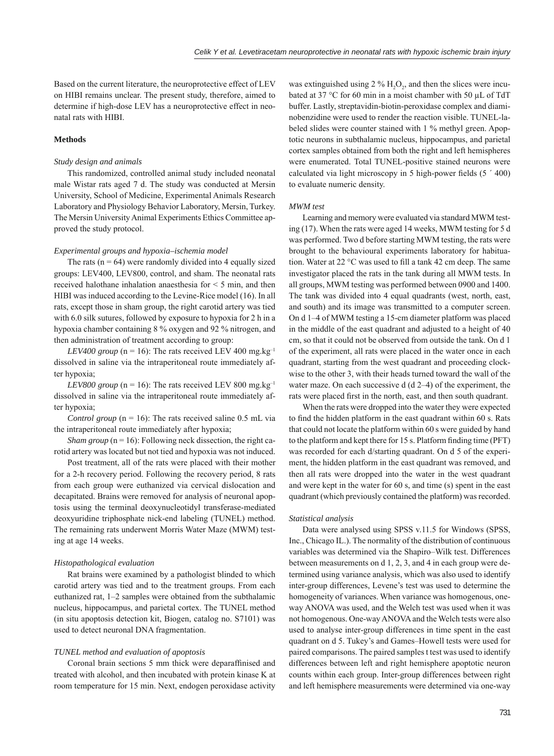Based on the current literature, the neuroprotective effect of LEV on HIBI remains unclear. The present study, therefore, aimed to determine if high-dose LEV has a neuroprotective effect in neonatal rats with HIBI.

## **Methods**

## *Study design and animals*

This randomized, controlled animal study included neonatal male Wistar rats aged 7 d. The study was conducted at Mersin University, School of Medicine, Experimental Animals Research Laboratory and Physiology Behavior Laboratory, Mersin, Turkey. The Mersin University Animal Experiments Ethics Committee approved the study protocol.

#### *Experimental groups and hypoxia–ischemia model*

The rats ( $n = 64$ ) were randomly divided into 4 equally sized groups: LEV400, LEV800, control, and sham. The neonatal rats received halothane inhalation anaesthesia for < 5 min, and then HIBI was induced according to the Levine-Rice model (16). In all rats, except those in sham group, the right carotid artery was tied with 6.0 silk sutures, followed by exposure to hypoxia for 2 h in a hypoxia chamber containing 8 % oxygen and 92 % nitrogen, and then administration of treatment according to group:

*LEV400 group* ( $n = 16$ ): The rats received LEV 400 mg.kg<sup>-1</sup> dissolved in saline via the intraperitoneal route immediately after hypoxia;

*LEV800 group* ( $n = 16$ ): The rats received LEV 800 mg.kg<sup>-1</sup> dissolved in saline via the intraperitoneal route immediately after hypoxia;

*Control group*  $(n = 16)$ : The rats received saline 0.5 mL via the intraperitoneal route immediately after hypoxia;

*Sham group* ( $n = 16$ ): Following neck dissection, the right carotid artery was located but not tied and hypoxia was not induced.

Post treatment, all of the rats were placed with their mother for a 2-h recovery period. Following the recovery period, 8 rats from each group were euthanized via cervical dislocation and decapitated. Brains were removed for analysis of neuronal apoptosis using the terminal deoxynucleotidyl transferase-mediated deoxyuridine triphosphate nick-end labeling (TUNEL) method. The remaining rats underwent Morris Water Maze (MWM) testing at age 14 weeks.

## *Histopathological evaluation*

Rat brains were examined by a pathologist blinded to which carotid artery was tied and to the treatment groups. From each euthanized rat, 1–2 samples were obtained from the subthalamic nucleus, hippocampus, and parietal cortex. The TUNEL method (in situ apoptosis detection kit, Biogen, catalog no. S7101) was used to detect neuronal DNA fragmentation.

## *TUNEL method and evaluation of apoptosis*

Coronal brain sections 5 mm thick were deparaffinised and treated with alcohol, and then incubated with protein kinase K at room temperature for 15 min. Next, endogen peroxidase activity

was extinguished using 2 %  $H_2O_2$ , and then the slices were incubated at 37 °C for 60 min in a moist chamber with 50 μL of TdT buffer. Lastly, streptavidin-biotin-peroxidase complex and diaminobenzidine were used to render the reaction visible. TUNEL-labeled slides were counter stained with 1 % methyl green. Apoptotic neurons in subthalamic nucleus, hippocampus, and parietal cortex samples obtained from both the right and left hemispheres were enumerated. Total TUNEL-positive stained neurons were calculated via light microscopy in 5 high-power fields  $(5' 400)$ to evaluate numeric density.

#### *MWM test*

Learning and memory were evaluated via standard MWM testing (17). When the rats were aged 14 weeks, MWM testing for 5 d was performed. Two d before starting MWM testing, the rats were brought to the behavioural experiments laboratory for habituation. Water at 22  $\mathrm{^{\circ}C}$  was used to fill a tank 42 cm deep. The same investigator placed the rats in the tank during all MWM tests. In all groups, MWM testing was performed between 0900 and 1400. The tank was divided into 4 equal quadrants (west, north, east, and south) and its image was transmitted to a computer screen. On d 1–4 of MWM testing a 15-cm diameter platform was placed in the middle of the east quadrant and adjusted to a height of 40 cm, so that it could not be observed from outside the tank. On d 1 of the experiment, all rats were placed in the water once in each quadrant, starting from the west quadrant and proceeding clockwise to the other 3, with their heads turned toward the wall of the water maze. On each successive d (d 2–4) of the experiment, the rats were placed first in the north, east, and then south quadrant.

When the rats were dropped into the water they were expected to find the hidden platform in the east quadrant within 60 s. Rats that could not locate the platform within 60 s were guided by hand to the platform and kept there for 15 s. Platform finding time (PFT) was recorded for each d/starting quadrant. On d 5 of the experiment, the hidden platform in the east quadrant was removed, and then all rats were dropped into the water in the west quadrant and were kept in the water for 60 s, and time (s) spent in the east quadrant (which previously contained the platform) was recorded.

#### *Statistical analysis*

Data were analysed using SPSS v.11.5 for Windows (SPSS, Inc., Chicago IL.). The normality of the distribution of continuous variables was determined via the Shapiro–Wilk test. Differences between measurements on d 1, 2, 3, and 4 in each group were determined using variance analysis, which was also used to identify inter-group differences, Levene's test was used to determine the homogeneity of variances. When variance was homogenous, oneway ANOVA was used, and the Welch test was used when it was not homogenous. One-way ANOVA and the Welch tests were also used to analyse inter-group differences in time spent in the east quadrant on d 5. Tukey's and Games–Howell tests were used for paired comparisons. The paired samples t test was used to identify differences between left and right hemisphere apoptotic neuron counts within each group. Inter-group differences between right and left hemisphere measurements were determined via one-way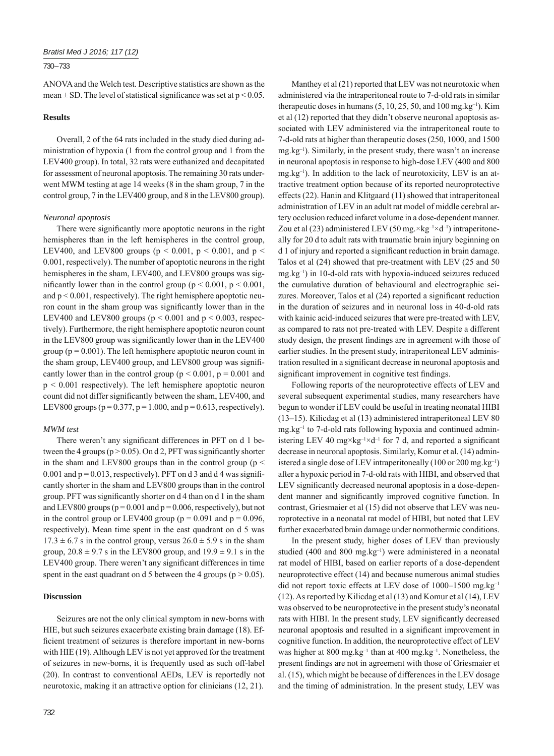## 730 – 733

ANOVA and the Welch test. Descriptive statistics are shown as the mean  $\pm$  SD. The level of statistical significance was set at p < 0.05.

## **Results**

Overall, 2 of the 64 rats included in the study died during administration of hypoxia (1 from the control group and 1 from the LEV400 group). In total, 32 rats were euthanized and decapitated for assessment of neuronal apoptosis. The remaining 30 rats underwent MWM testing at age 14 weeks (8 in the sham group, 7 in the control group, 7 in the LEV400 group, and 8 in the LEV800 group).

## *Neuronal apoptosis*

There were significantly more apoptotic neurons in the right hemispheres than in the left hemispheres in the control group, LEV400, and LEV800 groups ( $p < 0.001$ ,  $p < 0.001$ , and  $p <$ 0.001, respectively). The number of apoptotic neurons in the right hemispheres in the sham, LEV400, and LEV800 groups was significantly lower than in the control group ( $p \le 0.001$ ,  $p \le 0.001$ , and  $p < 0.001$ , respectively). The right hemisphere apoptotic neuron count in the sham group was significantly lower than in the LEV400 and LEV800 groups ( $p \le 0.001$  and  $p \le 0.003$ , respectively). Furthermore, the right hemisphere apoptotic neuron count in the LEV800 group was significantly lower than in the LEV400 group ( $p = 0.001$ ). The left hemisphere apoptotic neuron count in the sham group, LEV400 group, and LEV800 group was significantly lower than in the control group ( $p \le 0.001$ ,  $p = 0.001$  and  $p < 0.001$  respectively). The left hemisphere apoptotic neuron count did not differ significantly between the sham, LEV400, and LEV800 groups ( $p = 0.377$ ,  $p = 1.000$ , and  $p = 0.613$ , respectively).

## *MWM test*

There weren't any significant differences in PFT on d 1 between the 4 groups ( $p > 0.05$ ). On d 2, PFT was significantly shorter in the sham and LEV800 groups than in the control group ( $p <$ 0.001 and  $p = 0.013$ , respectively). PFT on d 3 and d 4 was significantly shorter in the sham and LEV800 groups than in the control group. PFT was significantly shorter on d 4 than on d 1 in the sham and LEV800 groups ( $p = 0.001$  and  $p = 0.006$ , respectively), but not in the control group or LEV400 group ( $p = 0.091$  and  $p = 0.096$ , respectively). Mean time spent in the east quadrant on d 5 was  $17.3 \pm 6.7$  s in the control group, versus  $26.0 \pm 5.9$  s in the sham group,  $20.8 \pm 9.7$  s in the LEV800 group, and  $19.9 \pm 9.1$  s in the LEV400 group. There weren't any significant differences in time spent in the east quadrant on d 5 between the 4 groups ( $p > 0.05$ ).

## **Discussion**

Seizures are not the only clinical symptom in new-borns with HIE, but such seizures exacerbate existing brain damage (18). Efficient treatment of seizures is therefore important in new-borns with HIE (19). Although LEV is not yet approved for the treatment of seizures in new-borns, it is frequently used as such off-label (20). In contrast to conventional AEDs, LEV is reportedly not neurotoxic, making it an attractive option for clinicians (12, 21).

Manthey et al (21) reported that LEV was not neurotoxic when administered via the intraperitoneal route to 7-d-old rats in similar therapeutic doses in humans  $(5, 10, 25, 50,$  and  $100$  mg.kg<sup>-1</sup>). Kim et al (12) reported that they didn't observe neuronal apoptosis associated with LEV administered via the intraperitoneal route to 7-d-old rats at higher than therapeutic doses (250, 1000, and 1500 mg.kg–1). Similarly, in the present study, there wasn't an increase in neuronal apoptosis in response to high-dose LEV (400 and 800  $mg \, \text{kg}^{-1}$ ). In addition to the lack of neurotoxicity, LEV is an attractive treatment option because of its reported neuroprotective effects (22). Hanin and Klitgaard (11) showed that intraperitoneal administration of LEV in an adult rat model of middle cerebral artery occlusion reduced infarct volume in a dose-dependent manner. Zou et al (23) administered LEV (50 mg. $\times$ kg<sup>-1</sup> $\times$ d<sup>-1</sup>) intraperitoneally for 20 d to adult rats with traumatic brain injury beginning on d 1 of injury and reported a significant reduction in brain damage. Talos et al (24) showed that pre-treatment with LEV (25 and 50 mg.kg–1) in 10-d-old rats with hypoxia-induced seizures reduced the cumulative duration of behavioural and electrographic seizures. Moreover, Talos et al (24) reported a significant reduction in the duration of seizures and in neuronal loss in 40-d-old rats with kainic acid-induced seizures that were pre-treated with LEV, as compared to rats not pre-treated with LEV. Despite a different study design, the present findings are in agreement with those of earlier studies. In the present study, intraperitoneal LEV administration resulted in a significant decrease in neuronal apoptosis and significant improvement in cognitive test findings.

Following reports of the neuroprotective effects of LEV and several subsequent experimental studies, many researchers have begun to wonder if LEV could be useful in treating neonatal HIBI (13–15). Kilicdag et al (13) administered intraperitoneal LEV 80 mg.kg–1 to 7-d-old rats following hypoxia and continued administering LEV 40 mg×kg<sup>-1</sup>×d<sup>-1</sup> for 7 d, and reported a significant decrease in neuronal apoptosis. Similarly, Komur et al. (14) administered a single dose of LEV intraperitoneally  $(100 \text{ or } 200 \text{ mg} \text{ kg}^{-1})$ after a hypoxic period in 7-d-old rats with HIBI, and observed that LEV significantly decreased neuronal apoptosis in a dose-dependent manner and significantly improved cognitive function. In contrast, Griesmaier et al (15) did not observe that LEV was neuroprotective in a neonatal rat model of HIBI, but noted that LEV further exacerbated brain damage under normothermic conditions.

In the present study, higher doses of LEV than previously studied (400 and 800 mg.kg–1) were administered in a neonatal rat model of HIBI, based on earlier reports of a dose-dependent neuroprotective effect (14) and because numerous animal studies did not report toxic effects at LEV dose of 1000-1500 mg.kg<sup>-1</sup> (12). As reported by Kilicdag et al (13) and Komur et al (14), LEV was observed to be neuroprotective in the present study's neonatal rats with HIBI. In the present study, LEV significantly decreased neuronal apoptosis and resulted in a significant improvement in cognitive function. In addition, the neuroprotective effect of LEV was higher at  $800 \text{ mg} \cdot \text{kg}^{-1}$  than at  $400 \text{ mg} \cdot \text{kg}^{-1}$ . Nonetheless, the present findings are not in agreement with those of Griesmaier et al. (15), which might be because of differences in the LEV dosage and the timing of administration. In the present study, LEV was